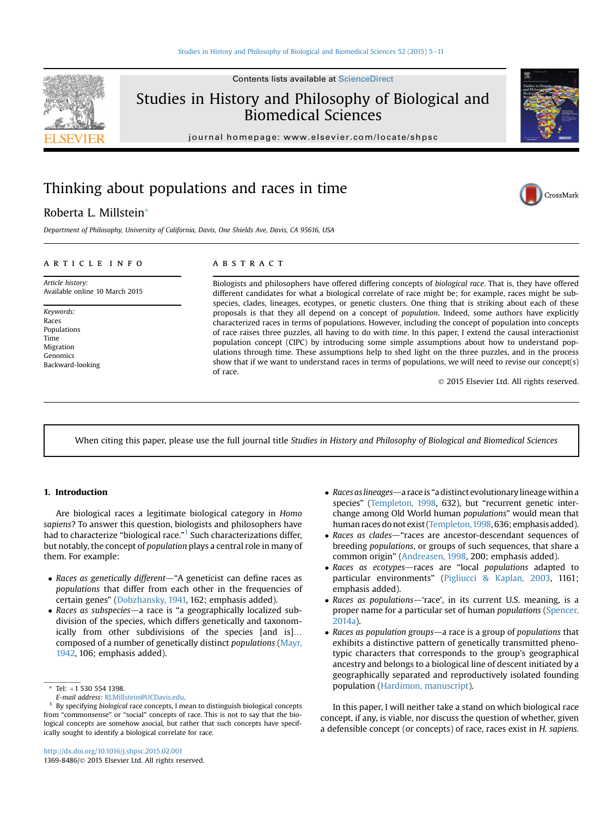

## Studies in History and Philosophy of Biological and Biomedical Sciences

journal homepage: [www.elsevier.com/locate/shpsc](http://www.elsevier.com/locate/shpsc)

# Thinking about populations and races in time

## Roberta L. Millstein\*

Department of Philosophy, University of California, Davis, One Shields Ave, Davis, CA 95616, USA

#### article info

Article history: Available online 10 March 2015

Keywords: Races Populations Time Migration Genomics Backward-looking

#### **ABSTRACT**

Biologists and philosophers have offered differing concepts of biological race. That is, they have offered different candidates for what a biological correlate of race might be; for example, races might be subspecies, clades, lineages, ecotypes, or genetic clusters. One thing that is striking about each of these proposals is that they all depend on a concept of population. Indeed, some authors have explicitly characterized races in terms of populations. However, including the concept of population into concepts of race raises three puzzles, all having to do with time. In this paper, I extend the causal interactionist population concept (CIPC) by introducing some simple assumptions about how to understand populations through time. These assumptions help to shed light on the three puzzles, and in the process show that if we want to understand races in terms of populations, we will need to revise our concept(s) of race.

2015 Elsevier Ltd. All rights reserved.

CrossMark

When citing this paper, please use the full journal title Studies in History and Philosophy of Biological and Biomedical Sciences

## 1. Introduction

Are biological races a legitimate biological category in Homo sapiens? To answer this question, biologists and philosophers have had to characterize "biological race." <sup>1</sup> Such characterizations differ, but notably, the concept of population plays a central role in many of them. For example:

- Races as genetically different—"A geneticist can define races as populations that differ from each other in the frequencies of certain genes" ([Dobzhansky, 1941,](#page-6-0) 162; emphasis added).
- Races as subspecies—a race is "a geographically localized subdivision of the species, which differs genetically and taxonomically from other subdivisions of the species [and is]... composed of a number of genetically distinct populations [\(Mayr,](#page-6-0) [1942,](#page-6-0) 106; emphasis added).
- $\bullet$  Races as lineages—a race is "a distinct evolutionary lineage within a species" [\(Templeton, 1998](#page-6-0), 632), but "recurrent genetic interchange among Old World human populations" would mean that human races do not exist [\(Templeton,1998](#page-6-0), 636; emphasis added).
- Races as clades—"races are ancestor-descendant sequences of breeding populations, or groups of such sequences, that share a common origin" ([Andreasen, 1998,](#page-5-0) 200; emphasis added).
- Races as ecotypes-races are "local populations adapted to particular environments" ([Pigliucci & Kaplan, 2003,](#page-6-0) 1161; emphasis added).
- Races as populations—'race', in its current U.S. meaning, is a proper name for a particular set of human populations ([Spencer,](#page-6-0) [2014a\)](#page-6-0).
- Races as population groups—a race is a group of populations that exhibits a distinctive pattern of genetically transmitted phenotypic characters that corresponds to the group's geographical ancestry and belongs to a biological line of descent initiated by a geographically separated and reproductively isolated founding population [\(Hardimon, manuscript](#page-6-0)).

In this paper, I will neither take a stand on which biological race concept, if any, is viable, nor discuss the question of whether, given a defensible concept (or concepts) of race, races exist in H. sapiens.

 $*$  Tel:  $+1$  530 554 1398.

E-mail address: [RLMillstein@UCDavis.edu.](mailto:RLMillstein@UCDavis.edu)

By specifying biological race concepts, I mean to distinguish biological concepts from "commonsense" or "social" concepts of race. This is not to say that the biological concepts are somehow asocial, but rather that such concepts have specifically sought to identify a biological correlate for race.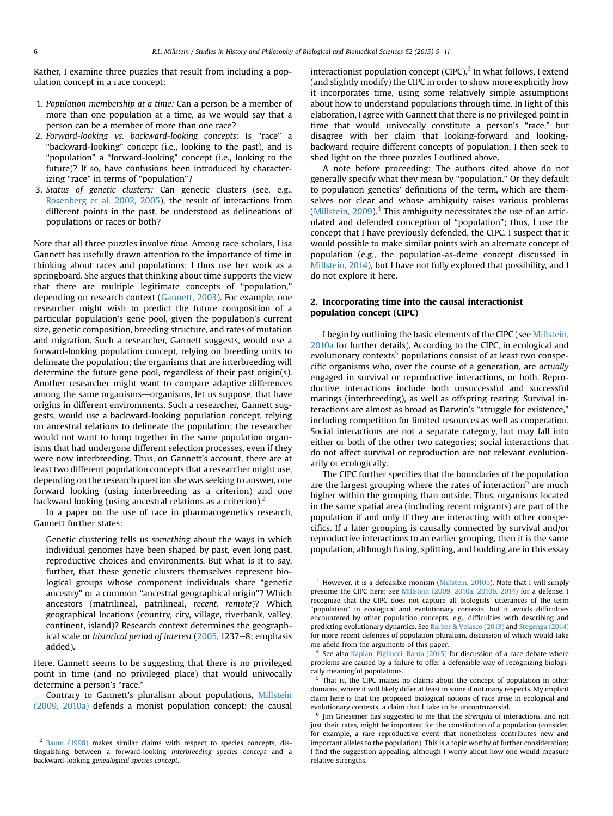Rather, I examine three puzzles that result from including a population concept in a race concept:

- 1. Population membership at a time: Can a person be a member of more than one population at a time, as we would say that a person can be a member of more than one race?
- 2. Forward-looking vs. backward-looking concepts: Is "race" a "backward-looking" concept (i.e., looking to the past), and is "population" a "forward-looking" concept (i.e., looking to the future)? If so, have confusions been introduced by characterizing "race" in terms of "population"?
- 3. Status of genetic clusters: Can genetic clusters (see, e.g., [Rosenberg et al. 2002, 2005\)](#page-6-0), the result of interactions from different points in the past, be understood as delineations of populations or races or both?

Note that all three puzzles involve time. Among race scholars, Lisa Gannett has usefully drawn attention to the importance of time in thinking about races and populations; I thus use her work as a springboard. She argues that thinking about time supports the view that there are multiple legitimate concepts of "population," depending on research context ([Gannett, 2003\)](#page-6-0). For example, one researcher might wish to predict the future composition of a particular population's gene pool, given the population's current size, genetic composition, breeding structure, and rates of mutation and migration. Such a researcher, Gannett suggests, would use a forward-looking population concept, relying on breeding units to delineate the population; the organisms that are interbreeding will determine the future gene pool, regardless of their past origin(s). Another researcher might want to compare adaptive differences among the same organisms—organisms, let us suppose, that have origins in different environments. Such a researcher, Gannett suggests, would use a backward-looking population concept, relying on ancestral relations to delineate the population; the researcher would not want to lump together in the same population organisms that had undergone different selection processes, even if they were now interbreeding. Thus, on Gannett's account, there are at least two different population concepts that a researcher might use, depending on the research question she was seeking to answer, one forward looking (using interbreeding as a criterion) and one backward looking (using ancestral relations as a criterion). $<sup>2</sup>$ </sup>

In a paper on the use of race in pharmacogenetics research, Gannett further states:

Genetic clustering tells us something about the ways in which individual genomes have been shaped by past, even long past, reproductive choices and environments. But what is it to say, further, that these genetic clusters themselves represent biological groups whose component individuals share "genetic ancestry" or a common "ancestral geographical origin"? Which ancestors (matrilineal, patrilineal, recent, remote)? Which geographical locations (country, city, village, riverbank, valley, continent, island)? Research context determines the geographical scale or historical period of interest  $(2005, 1237-8;$  $(2005, 1237-8;$  $(2005, 1237-8;$  emphasis added).

Here, Gannett seems to be suggesting that there is no privileged point in time (and no privileged place) that would univocally determine a person's "race."

Contrary to Gannett's pluralism about populations, [Millstein](#page-6-0) [\(2009, 2010a\)](#page-6-0) defends a monist population concept: the causal interactionist population concept  $(CIPC)$ .<sup>3</sup> In what follows, I extend (and slightly modify) the CIPC in order to show more explicitly how it incorporates time, using some relatively simple assumptions about how to understand populations through time. In light of this elaboration, I agree with Gannett that there is no privileged point in time that would univocally constitute a person's "race," but disagree with her claim that looking-forward and lookingbackward require different concepts of population. I then seek to shed light on the three puzzles I outlined above.

A note before proceeding: The authors cited above do not generally specify what they mean by "population." Or they default to population genetics' definitions of the term, which are themselves not clear and whose ambiguity raises various problems (Millstein,  $2009$ ).<sup>4</sup> This ambiguity necessitates the use of an articulated and defended conception of "population"; thus, I use the concept that I have previously defended, the CIPC. I suspect that it would possible to make similar points with an alternate concept of population (e.g., the population-as-deme concept discussed in [Millstein, 2014](#page-6-0)), but I have not fully explored that possibility, and I do not explore it here.

## 2. Incorporating time into the causal interactionist population concept (CIPC)

I begin by outlining the basic elements of the CIPC (see [Millstein,](#page-6-0) [2010a](#page-6-0) for further details). According to the CIPC, in ecological and evolutionary contexts<sup>5</sup> populations consist of at least two conspecific organisms who, over the course of a generation, are actually engaged in survival or reproductive interactions, or both. Reproductive interactions include both unsuccessful and successful matings (interbreeding), as well as offspring rearing. Survival interactions are almost as broad as Darwin's "struggle for existence," including competition for limited resources as well as cooperation. Social interactions are not a separate category, but may fall into either or both of the other two categories; social interactions that do not affect survival or reproduction are not relevant evolutionarily or ecologically.

The CIPC further specifies that the boundaries of the population are the largest grouping where the rates of interaction $6$  are much higher within the grouping than outside. Thus, organisms located in the same spatial area (including recent migrants) are part of the population if and only if they are interacting with other conspecifics. If a later grouping is causally connected by survival and/or reproductive interactions to an earlier grouping, then it is the same population, although fusing, splitting, and budding are in this essay

<sup>&</sup>lt;sup>2</sup> [Baum \(1998\)](#page-5-0) makes similar claims with respect to species concepts, distinguishing between a forward-looking interbreeding species concept and a backward-looking genealogical species concept.

<sup>&</sup>lt;sup>3</sup> However, it is a defeasible monism [\(Millstein, 2010b](#page-6-0)). Note that I will simply presume the CIPC here; see [Millstein \(2009, 2010a, 2010b, 2014\)](#page-6-0) for a defense. I recognize that the CIPC does not capture all biologists' utterances of the term "population" in ecological and evolutionary contexts, but it avoids difficulties encountered by other population concepts, e.g., difficulties with describing and predicting evolutionary dynamics. See [Barker & Velasco \(2013\)](#page-5-0) and [Stegenga \(2014\)](#page-6-0) for more recent defenses of population pluralism, discussion of which would take me afield from the arguments of this paper.

<sup>4</sup> See also [Kaplan, Pigliucci, Banta \(2015\)](#page-6-0) for discussion of a race debate where problems are caused by a failure to offer a defensible way of recognizing biologically meaningful populations.

<sup>5</sup> That is, the CIPC makes no claims about the concept of population in other domains, where it will likely differ at least in some if not many respects. My implicit claim here is that the proposed biological notions of race arise in ecological and evolutionary contexts, a claim that I take to be uncontroversial.

 $6$  Jim Griesemer has suggested to me that the strengths of interactions, and not just their rates, might be important for the constitution of a population (consider, for example, a rare reproductive event that nonetheless contributes new and important alleles to the population). This is a topic worthy of further consideration; I find the suggestion appealing, although I worry about how one would measure relative strengths.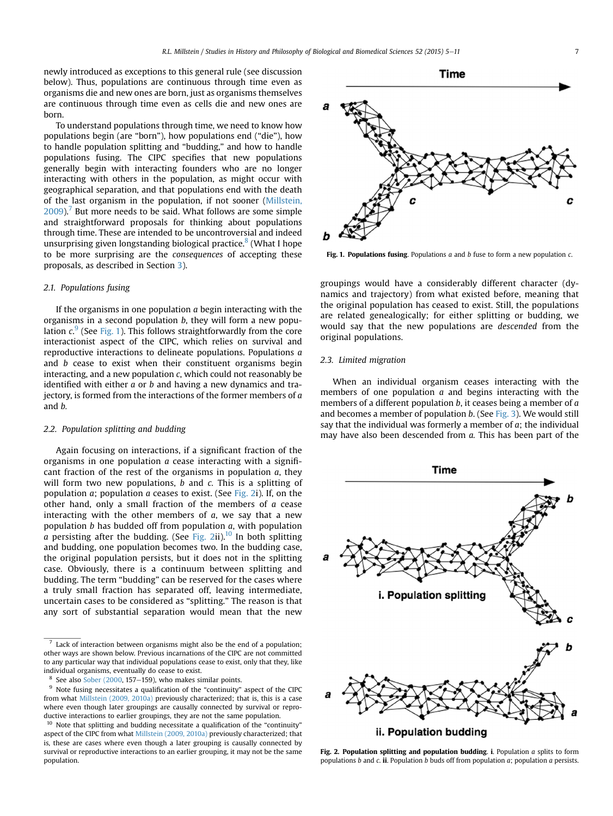<span id="page-2-0"></span>newly introduced as exceptions to this general rule (see discussion below). Thus, populations are continuous through time even as organisms die and new ones are born, just as organisms themselves are continuous through time even as cells die and new ones are born.

To understand populations through time, we need to know how populations begin (are "born"), how populations end ("die"), how to handle population splitting and "budding," and how to handle populations fusing. The CIPC specifies that new populations generally begin with interacting founders who are no longer interacting with others in the population, as might occur with geographical separation, and that populations end with the death of the last organism in the population, if not sooner [\(Millstein,](#page-6-0)  $2009$ . But more needs to be said. What follows are some simple and straightforward proposals for thinking about populations through time. These are intended to be uncontroversial and indeed unsurprising given longstanding biological practice. $8$  (What I hope to be more surprising are the consequences of accepting these proposals, as described in Section [3](#page-3-0)).

## 2.1. Populations fusing

If the organisms in one population  $a$  begin interacting with the organisms in a second population b, they will form a new population  $c$ . See Fig. 1). This follows straightforwardly from the core interactionist aspect of the CIPC, which relies on survival and reproductive interactions to delineate populations. Populations a and b cease to exist when their constituent organisms begin interacting, and a new population c, which could not reasonably be identified with either  $a$  or  $b$  and having a new dynamics and trajectory, is formed from the interactions of the former members of a and b.

#### 2.2. Population splitting and budding

Again focusing on interactions, if a significant fraction of the organisms in one population  $a$  cease interacting with a significant fraction of the rest of the organisms in population a, they will form two new populations,  $b$  and  $c$ . This is a splitting of population  $a$ ; population  $a$  ceases to exist. (See Fig. 2i). If, on the other hand, only a small fraction of the members of  $a$  cease interacting with the other members of  $a$ , we say that a new population  $b$  has budded off from population  $a$ , with population  $a$  persisting after the budding. (See Fig. 2ii).<sup>10</sup> In both splitting and budding, one population becomes two. In the budding case, the original population persists, but it does not in the splitting case. Obviously, there is a continuum between splitting and budding. The term "budding" can be reserved for the cases where a truly small fraction has separated off, leaving intermediate, uncertain cases to be considered as "splitting." The reason is that any sort of substantial separation would mean that the new



Fig. 1. Populations fusing. Populations  $a$  and  $b$  fuse to form a new population  $c$ .

groupings would have a considerably different character (dynamics and trajectory) from what existed before, meaning that the original population has ceased to exist. Still, the populations are related genealogically; for either splitting or budding, we would say that the new populations are descended from the original populations.

## 2.3. Limited migration

When an individual organism ceases interacting with the members of one population  $a$  and begins interacting with the members of a different population b, it ceases being a member of a and becomes a member of population  $b$ . (See [Fig. 3](#page-3-0)). We would still say that the individual was formerly a member of  $a$ ; the individual may have also been descended from a. This has been part of the



Fig. 2. Population splitting and population budding. i. Population  $a$  splits to form populations  $b$  and  $c$ . ii. Population  $b$  buds off from population  $a$ ; population  $a$  persists.

Lack of interaction between organisms might also be the end of a population; other ways are shown below. Previous incarnations of the CIPC are not committed to any particular way that individual populations cease to exist, only that they, like individual organisms, eventually do cease to exist.

<sup>&</sup>lt;sup>8</sup> See also [Sober \(2000,](#page-6-0) 157–159), who makes similar points.

Note fusing necessitates a qualification of the "continuity" aspect of the CIPC from what [Millstein \(2009, 2010a\)](#page-6-0) previously characterized; that is, this is a case where even though later groupings are causally connected by survival or reproductive interactions to earlier groupings, they are not the same population.

 $10$  Note that splitting and budding necessitate a qualification of the "continuity" aspect of the CIPC from what [Millstein \(2009, 2010a\)](#page-6-0) previously characterized; that is, these are cases where even though a later grouping is causally connected by survival or reproductive interactions to an earlier grouping, it may not be the same population.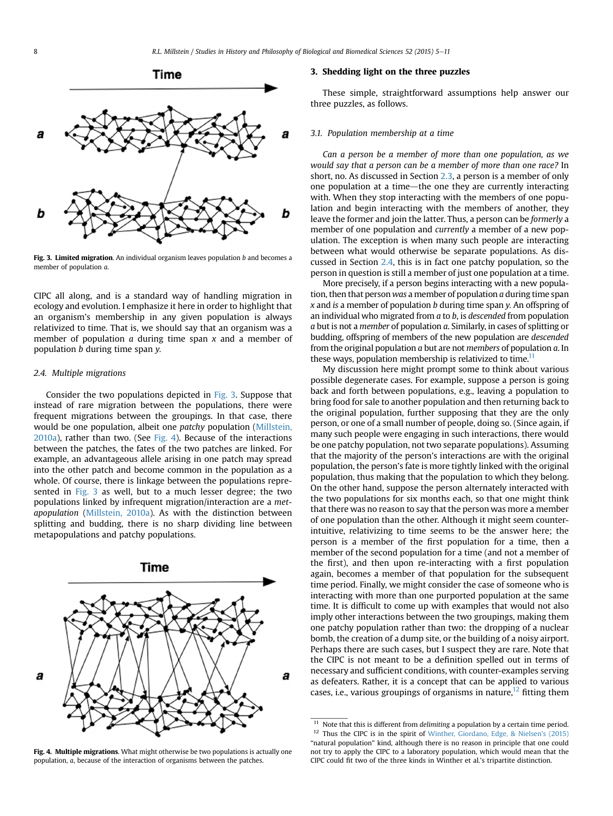<span id="page-3-0"></span>

Fig. 3. Limited migration. An individual organism leaves population b and becomes a member of population a.

CIPC all along, and is a standard way of handling migration in ecology and evolution. I emphasize it here in order to highlight that an organism's membership in any given population is always relativized to time. That is, we should say that an organism was a member of population  $a$  during time span  $x$  and a member of population b during time span y.

#### 2.4. Multiple migrations

Consider the two populations depicted in Fig. 3. Suppose that instead of rare migration between the populations, there were frequent migrations between the groupings. In that case, there would be one population, albeit one patchy population ([Millstein,](#page-6-0) [2010a](#page-6-0)), rather than two. (See Fig. 4). Because of the interactions between the patches, the fates of the two patches are linked. For example, an advantageous allele arising in one patch may spread into the other patch and become common in the population as a whole. Of course, there is linkage between the populations represented in Fig. 3 as well, but to a much lesser degree; the two populations linked by infrequent migration/interaction are a metapopulation ([Millstein, 2010a\)](#page-6-0). As with the distinction between splitting and budding, there is no sharp dividing line between metapopulations and patchy populations.



Fig. 4. Multiple migrations. What might otherwise be two populations is actually one population, a, because of the interaction of organisms between the patches.

## 3. Shedding light on the three puzzles

These simple, straightforward assumptions help answer our three puzzles, as follows.

## 3.1. Population membership at a time

Can a person be a member of more than one population, as we would say that a person can be a member of more than one race? In short, no. As discussed in Section [2.3,](#page-2-0) a person is a member of only one population at a time-the one they are currently interacting with. When they stop interacting with the members of one population and begin interacting with the members of another, they leave the former and join the latter. Thus, a person can be formerly a member of one population and currently a member of a new population. The exception is when many such people are interacting between what would otherwise be separate populations. As discussed in Section 2.4, this is in fact one patchy population, so the person in question is still a member of just one population at a time.

More precisely, if a person begins interacting with a new population, then that person was a member of population  $a$  during time span  $x$  and is a member of population  $b$  during time span  $y$ . An offspring of an individual who migrated from a to b, is descended from population a but is not a member of population a. Similarly, in cases of splitting or budding, offspring of members of the new population are descended from the original population a but are not members of population a. In these ways, population membership is relativized to time.<sup>11</sup>

My discussion here might prompt some to think about various possible degenerate cases. For example, suppose a person is going back and forth between populations, e.g., leaving a population to bring food for sale to another population and then returning back to the original population, further supposing that they are the only person, or one of a small number of people, doing so. (Since again, if many such people were engaging in such interactions, there would be one patchy population, not two separate populations). Assuming that the majority of the person's interactions are with the original population, the person's fate is more tightly linked with the original population, thus making that the population to which they belong. On the other hand, suppose the person alternately interacted with the two populations for six months each, so that one might think that there was no reason to say that the person was more a member of one population than the other. Although it might seem counterintuitive, relativizing to time seems to be the answer here; the person is a member of the first population for a time, then a member of the second population for a time (and not a member of the first), and then upon re-interacting with a first population again, becomes a member of that population for the subsequent time period. Finally, we might consider the case of someone who is interacting with more than one purported population at the same time. It is difficult to come up with examples that would not also imply other interactions between the two groupings, making them one patchy population rather than two: the dropping of a nuclear bomb, the creation of a dump site, or the building of a noisy airport. Perhaps there are such cases, but I suspect they are rare. Note that the CIPC is not meant to be a definition spelled out in terms of necessary and sufficient conditions, with counter-examples serving as defeaters. Rather, it is a concept that can be applied to various cases, i.e., various groupings of organisms in nature, $^{12}$  fitting them

 $11$  Note that this is different from *delimiting* a population by a certain time period. <sup>12</sup> Thus the CIPC is in the spirit of [Winther, Giordano, Edge, & Nielsen](#page-6-0)'s (2015) "natural population" kind, although there is no reason in principle that one could not try to apply the CIPC to a laboratory population, which would mean that the CIPC could fit two of the three kinds in Winther et al.'s tripartite distinction.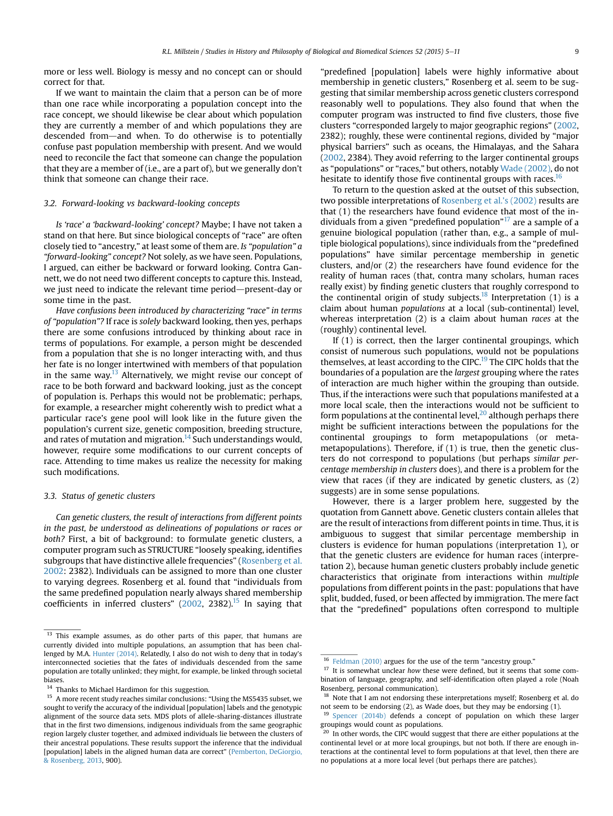more or less well. Biology is messy and no concept can or should correct for that.

If we want to maintain the claim that a person can be of more than one race while incorporating a population concept into the race concept, we should likewise be clear about which population they are currently a member of and which populations they are descended from-and when. To do otherwise is to potentially confuse past population membership with present. And we would need to reconcile the fact that someone can change the population that they are a member of (i.e., are a part of), but we generally don't think that someone can change their race.

## 3.2. Forward-looking vs backward-looking concepts

Is 'race' a 'backward-looking' concept? Maybe; I have not taken a stand on that here. But since biological concepts of "race" are often closely tied to "ancestry," at least some of them are. Is "population" a "forward-looking" concept? Not solely, as we have seen. Populations, I argued, can either be backward or forward looking. Contra Gannett, we do not need two different concepts to capture this. Instead, we just need to indicate the relevant time period-present-day or some time in the past.

Have confusions been introduced by characterizing "race" in terms of "population"? If race is solely backward looking, then yes, perhaps there are some confusions introduced by thinking about race in terms of populations. For example, a person might be descended from a population that she is no longer interacting with, and thus her fate is no longer intertwined with members of that population in the same way.<sup>13</sup> Alternatively, we might revise our concept of race to be both forward and backward looking, just as the concept of population is. Perhaps this would not be problematic; perhaps, for example, a researcher might coherently wish to predict what a particular race's gene pool will look like in the future given the population's current size, genetic composition, breeding structure, and rates of mutation and migration.<sup>14</sup> Such understandings would, however, require some modifications to our current concepts of race. Attending to time makes us realize the necessity for making such modifications.

## 3.3. Status of genetic clusters

Can genetic clusters, the result of interactions from different points in the past, be understood as delineations of populations or races or both? First, a bit of background: to formulate genetic clusters, a computer program such as STRUCTURE "loosely speaking, identifies subgroups that have distinctive allele frequencies" ([Rosenberg et al.](#page-6-0) [2002:](#page-6-0) 2382). Individuals can be assigned to more than one cluster to varying degrees. Rosenberg et al. found that "individuals from the same predefined population nearly always shared membership coefficients in inferred clusters"  $(2002, 2382).$  $(2002, 2382).$ <sup>15</sup> In saying that "predefined [population] labels were highly informative about membership in genetic clusters," Rosenberg et al. seem to be suggesting that similar membership across genetic clusters correspond reasonably well to populations. They also found that when the computer program was instructed to find five clusters, those five clusters "corresponded largely to major geographic regions" [\(2002,](#page-6-0) 2382); roughly, these were continental regions, divided by "major physical barriers" such as oceans, the Himalayas, and the Sahara ([2002,](#page-6-0) 2384). They avoid referring to the larger continental groups as "populations" or "races," but others, notably [Wade \(2002\)](#page-6-0), do not hesitate to identify those five continental groups with races. $16$ 

To return to the question asked at the outset of this subsection, two possible interpretations of [Rosenberg et al.](#page-6-0)'s (2002) results are that (1) the researchers have found evidence that most of the individuals from a given "predefined population"<sup>17</sup> are a sample of a genuine biological population (rather than, e.g., a sample of multiple biological populations), since individuals from the "predefined populations" have similar percentage membership in genetic clusters, and/or (2) the researchers have found evidence for the reality of human races (that, contra many scholars, human races really exist) by finding genetic clusters that roughly correspond to the continental origin of study subjects.<sup>18</sup> Interpretation  $(1)$  is a claim about human populations at a local (sub-continental) level, whereas interpretation (2) is a claim about human races at the (roughly) continental level.

If (1) is correct, then the larger continental groupings, which consist of numerous such populations, would not be populations themselves, at least according to the CIPC.<sup>19</sup> The CIPC holds that the boundaries of a population are the largest grouping where the rates of interaction are much higher within the grouping than outside. Thus, if the interactions were such that populations manifested at a more local scale, then the interactions would not be sufficient to form populations at the continental level, $^{20}$  although perhaps there might be sufficient interactions between the populations for the continental groupings to form metapopulations (or metametapopulations). Therefore, if (1) is true, then the genetic clusters do not correspond to populations (but perhaps similar percentage membership in clusters does), and there is a problem for the view that races (if they are indicated by genetic clusters, as (2) suggests) are in some sense populations.

However, there is a larger problem here, suggested by the quotation from Gannett above. Genetic clusters contain alleles that are the result of interactions from different points in time. Thus, it is ambiguous to suggest that similar percentage membership in clusters is evidence for human populations (interpretation 1), or that the genetic clusters are evidence for human races (interpretation 2), because human genetic clusters probably include genetic characteristics that originate from interactions within multiple populations from different points in the past: populations that have split, budded, fused, or been affected by immigration. The mere fact that the "predefined" populations often correspond to multiple

 $\frac{13}{13}$  This example assumes, as do other parts of this paper, that humans are currently divided into multiple populations, an assumption that has been challenged by M.A. [Hunter \(2014\)](#page-6-0). Relatedly, I also do not wish to deny that in today's interconnected societies that the fates of individuals descended from the same population are totally unlinked; they might, for example, be linked through societal biases.

<sup>14</sup> Thanks to Michael Hardimon for this suggestion.

<sup>&</sup>lt;sup>15</sup> A more recent study reaches similar conclusions: "Using the MS5435 subset, we sought to verify the accuracy of the individual [population] labels and the genotypic alignment of the source data sets. MDS plots of allele-sharing-distances illustrate that in the first two dimensions, indigenous individuals from the same geographic region largely cluster together, and admixed individuals lie between the clusters of their ancestral populations. These results support the inference that the individual [population] labels in the aligned human data are correct" ([Pemberton, DeGiorgio,](#page-6-0) [& Rosenberg, 2013](#page-6-0), 900).

<sup>16</sup> [Feldman \(2010\)](#page-6-0) argues for the use of the term "ancestry group."

<sup>&</sup>lt;sup>17</sup> It is somewhat unclear how these were defined, but it seems that some combination of language, geography, and self-identification often played a role (Noah Rosenberg, personal communication).

 $18$  Note that I am not endorsing these interpretations myself; Rosenberg et al. do not seem to be endorsing (2), as Wade does, but they may be endorsing (1).

<sup>19</sup> [Spencer \(2014b\)](#page-6-0) defends a concept of population on which these larger groupings would count as populations.

In other words, the CIPC would suggest that there are either populations at the continental level or at more local groupings, but not both. If there are enough interactions at the continental level to form populations at that level, then there are no populations at a more local level (but perhaps there are patches).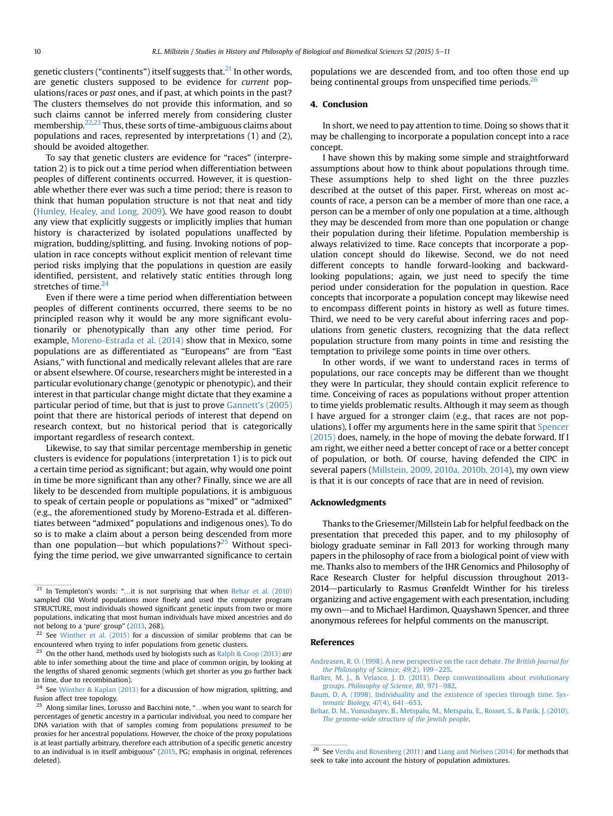<span id="page-5-0"></span>genetic clusters ("continents") itself suggests that. $^{21}$  In other words, are genetic clusters supposed to be evidence for current populations/races or past ones, and if past, at which points in the past? The clusters themselves do not provide this information, and so such claims cannot be inferred merely from considering cluster membership.<sup>22,23</sup> Thus, these sorts of time-ambiguous claims about populations and races, represented by interpretations (1) and (2), should be avoided altogether.

To say that genetic clusters are evidence for "races" (interpretation 2) is to pick out a time period when differentiation between peoples of different continents occurred. However, it is questionable whether there ever was such a time period; there is reason to think that human population structure is not that neat and tidy ([Hunley, Healey, and Long, 2009](#page-6-0)). We have good reason to doubt any view that explicitly suggests or implicitly implies that human history is characterized by isolated populations unaffected by migration, budding/splitting, and fusing. Invoking notions of population in race concepts without explicit mention of relevant time period risks implying that the populations in question are easily identified, persistent, and relatively static entities through long stretches of time.<sup>24</sup>

Even if there were a time period when differentiation between peoples of different continents occurred, there seems to be no principled reason why it would be any more significant evolutionarily or phenotypically than any other time period. For example, [Moreno-Estrada et al. \(2014\)](#page-6-0) show that in Mexico, some populations are as differentiated as "Europeans" are from "East Asians," with functional and medically relevant alleles that are rare or absent elsewhere. Of course, researchers might be interested in a particular evolutionary change (genotypic or phenotypic), and their interest in that particular change might dictate that they examine a particular period of time, but that is just to prove Gannett'[s \(2005\)](#page-6-0) point that there are historical periods of interest that depend on research context, but no historical period that is categorically important regardless of research context.

Likewise, to say that similar percentage membership in genetic clusters is evidence for populations (interpretation 1) is to pick out a certain time period as significant; but again, why would one point in time be more significant than any other? Finally, since we are all likely to be descended from multiple populations, it is ambiguous to speak of certain people or populations as "mixed" or "admixed" (e.g., the aforementioned study by Moreno-Estrada et al. differentiates between "admixed" populations and indigenous ones). To do so is to make a claim about a person being descended from more than one population—but which populations?<sup>25</sup> Without specifying the time period, we give unwarranted significance to certain populations we are descended from, and too often those end up being continental groups from unspecified time periods. $^{20}$ 

## 4. Conclusion

In short, we need to pay attention to time. Doing so shows that it may be challenging to incorporate a population concept into a race concept.

I have shown this by making some simple and straightforward assumptions about how to think about populations through time. These assumptions help to shed light on the three puzzles described at the outset of this paper. First, whereas on most accounts of race, a person can be a member of more than one race, a person can be a member of only one population at a time, although they may be descended from more than one population or change their population during their lifetime. Population membership is always relativized to time. Race concepts that incorporate a population concept should do likewise. Second, we do not need different concepts to handle forward-looking and backwardlooking populations; again, we just need to specify the time period under consideration for the population in question. Race concepts that incorporate a population concept may likewise need to encompass different points in history as well as future times. Third, we need to be very careful about inferring races and populations from genetic clusters, recognizing that the data reflect population structure from many points in time and resisting the temptation to privilege some points in time over others.

In other words, if we want to understand races in terms of populations, our race concepts may be different than we thought they were In particular, they should contain explicit reference to time. Conceiving of races as populations without proper attention to time yields problematic results. Although it may seem as though I have argued for a stronger claim (e.g., that races are not populations), I offer my arguments here in the same spirit that [Spencer](#page-6-0) [\(2015\)](#page-6-0) does, namely, in the hope of moving the debate forward. If I am right, we either need a better concept of race or a better concept of population, or both. Of course, having defended the CIPC in several papers [\(Millstein, 2009, 2010a, 2010b, 2014](#page-6-0)), my own view is that it is our concepts of race that are in need of revision.

## Acknowledgments

Thanks to the Griesemer/Millstein Lab for helpful feedback on the presentation that preceded this paper, and to my philosophy of biology graduate seminar in Fall 2013 for working through many papers in the philosophy of race from a biological point of view with me. Thanks also to members of the IHR Genomics and Philosophy of Race Research Cluster for helpful discussion throughout 2013- 2014-particularly to Rasmus Grønfeldt Winther for his tireless organizing and active engagement with each presentation, including my own—and to Michael Hardimon, Quayshawn Spencer, and three anonymous referees for helpful comments on the manuscript.

## References

 $\overline{a}$ <sup>21</sup> In Templeton's words: "...it is not surprising that when Behar et al. (2010) sampled Old World populations more finely and used the computer program STRUCTURE, most individuals showed significant genetic inputs from two or more populations, indicating that most human individuals have mixed ancestries and do not belong to a 'pure' group" [\(2013,](#page-6-0) 268).

<sup>&</sup>lt;sup>22</sup> See [Winther et al. \(2015\)](#page-6-0) for a discussion of similar problems that can be encountered when trying to infer populations from genetic clusters.

<sup>&</sup>lt;sup>23</sup> On the other hand, methods used by biologists such as [Ralph & Coop \(2013\)](#page-6-0) are able to infer something about the time and place of common origin, by looking at the lengths of shared genomic segments (which get shorter as you go further back in time, due to recombination).

<sup>24</sup> See [Winther & Kaplan \(2013\)](#page-6-0) for a discussion of how migration, splitting, and fusion affect tree topology.

 $25$  Along similar lines, Lorusso and Bacchini note, "...when you want to search for percentages of genetic ancestry in a particular individual, you need to compare her DNA variation with that of samples coming from populations presumed to be proxies for her ancestral populations. However, the choice of the proxy populations is at least partially arbitrary, therefore each attribution of a specific genetic ancestry to an individual is in itself ambiguous" ([2015](#page-6-0), PG; emphasis in original, references deleted).

[Andreasen, R. O. \(1998\). A new perspective on the race debate.](http://refhub.elsevier.com/S1369-8486(15)00031-X/sref1) The British Journal for the Philosophy of Science,  $49(2)$ ,  $199-225$ .

[Barker, M. J., & Velasco, J. D. \(2013\). Deep conventionalism about evolutionary](http://refhub.elsevier.com/S1369-8486(15)00031-X/sref2) groups. [Philosophy of Science, 80](http://refhub.elsevier.com/S1369-8486(15)00031-X/sref2), 971-[982](http://refhub.elsevier.com/S1369-8486(15)00031-X/sref2). [Baum, D. A. \(1998\). Individuality and the existence of species through time.](http://refhub.elsevier.com/S1369-8486(15)00031-X/sref3) Sys-

tematic Biology,  $47(4)$ ,  $641-653$ .

[Behar, D. M., Yunusbayev, B., Metspalu, M., Metspalu, E., Rosset, S., & Parik, J. \(2010\).](http://refhub.elsevier.com/S1369-8486(15)00031-X/sref36) [The genome-wide structure of the Jewish people](http://refhub.elsevier.com/S1369-8486(15)00031-X/sref36).

<sup>&</sup>lt;sup>26</sup> See [Verdu and Rosenberg \(2011\)](#page-6-0) and [Liang and Nielsen \(2014\)](#page-6-0) for methods that seek to take into account the history of population admixtures.